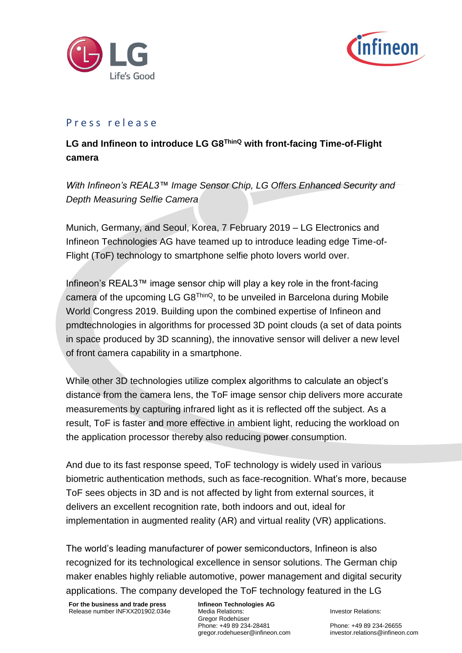



## Life's Good<br>
P r e s s r e l e a s e<br> **LG and Infineon to introduce LG G8<sup>ThinQ</sup> with front-facing Time-of-Flight camera**

*With Infineon's REAL3™ Image Sensor Chip, LG Offers Enhanced Security and Depth Measuring Selfie Camera* 

Munich, Germany, and Seoul, Korea, 7 February 2019 – LG Electronics and Infineon Technologies AG have teamed up to introduce leading edge Time-of-Flight (ToF) technology to smartphone selfie photo lovers world over.

Infineon's REAL3™ image sensor chip will play a key role in the front-facing camera of the upcoming LG G8<sup>ThinQ</sup>, to be unveiled in Barcelona during Mobile World Congress 2019. Building upon the combined expertise of Infineon and pmdtechnologies in algorithms for processed 3D point clouds (a set of data points in space produced by 3D scanning), the innovative sensor will deliver a new level of front camera capability in a smartphone.

While other 3D technologies utilize complex algorithms to calculate an object's distance from the camera lens, the ToF image sensor chip delivers more accurate measurements by capturing infrared light as it is reflected off the subject. As a result, ToF is faster and more effective in ambient light, reducing the workload on the application processor thereby also reducing power consumption.

And due to its fast response speed, ToF technology is widely used in various biometric authentication methods, such as face-recognition. What's more, because ToF sees objects in 3D and is not affected by light from external sources, it delivers an excellent recognition rate, both indoors and out, ideal for implementation in augmented reality (AR) and virtual reality (VR) applications.

The world's leading manufacturer of power semiconductors, Infineon is also recognized for its technological excellence in sensor solutions. The German chip maker enables highly reliable automotive, power management and digital security applications. The company developed the ToF technology featured in the LG

**For the business and trade press** Release number INFXX201902.034e **Infineon Technologies AG** Media Relations: Gregor Rodehüser Phone: +49 89 234-28481 gregor.rodehueser@infineon.com

Investor Relations:

Phone: +49 89 234-26655 investor.relations@infineon.com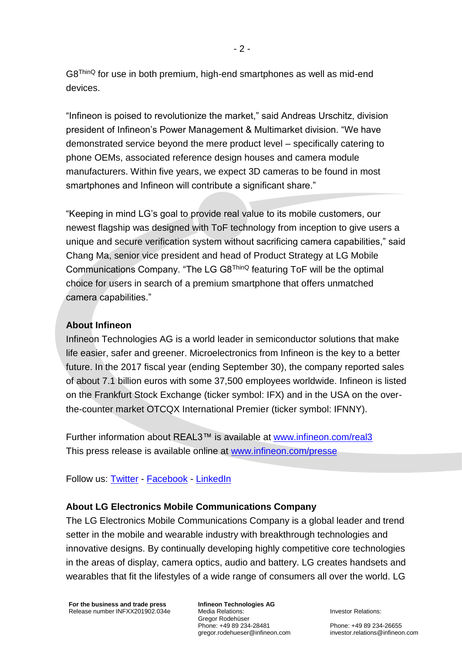G8ThinQ for use in both premium, high-end smartphones as well as mid-end devices.

"Infineon is poised to revolutionize the market," said Andreas Urschitz, division president of Infineon's Power Management & Multimarket division. "We have demonstrated service beyond the mere product level – specifically catering to phone OEMs, associated reference design houses and camera module manufacturers. Within five years, we expect 3D cameras to be found in most smartphones and Infineon will contribute a significant share."

"Keeping in mind LG's goal to provide real value to its mobile customers, our newest flagship was designed with ToF technology from inception to give users a unique and secure verification system without sacrificing camera capabilities," said Chang Ma, senior vice president and head of Product Strategy at LG Mobile Communications Company. "The LG G8ThinQ featuring ToF will be the optimal choice for users in search of a premium smartphone that offers unmatched camera capabilities."

## **About Infineon**

Infineon Technologies AG is a world leader in semiconductor solutions that make life easier, safer and greener. Microelectronics from Infineon is the key to a better future. In the 2017 fiscal year (ending September 30), the company reported sales of about 7.1 billion euros with some 37,500 employees worldwide. Infineon is listed on the Frankfurt Stock Exchange (ticker symbol: IFX) and in the USA on the overthe-counter market OTCQX International Premier (ticker symbol: IFNNY).

Further information about REAL3™ is available at [www.infineon.com/real3](http://www.infineon.com/real3) This press release is available online at [www.infineon.com/presse](http://www.infineon.com/presse)

Follow us: [Twitter](https://twitter.com/Infineon) - [Facebook](https://www.facebook.com/Infineon) - [LinkedIn](https://www.linkedin.com/company/infineon-technologies/)

## **About LG Electronics Mobile Communications Company**

The LG Electronics Mobile Communications Company is a global leader and trend setter in the mobile and wearable industry with breakthrough technologies and innovative designs. By continually developing highly competitive core technologies in the areas of display, camera optics, audio and battery. LG creates handsets and wearables that fit the lifestyles of a wide range of consumers all over the world. LG

**For the business and trade press** Release number INFXX201902.034e **Infineon Technologies AG** Media Relations: Gregor Rodehüser Phone: +49 89 234-28481 gregor.rodehueser@infineon.com

Investor Relations:

Phone: +49 89 234-26655 investor.relations@infineon.com